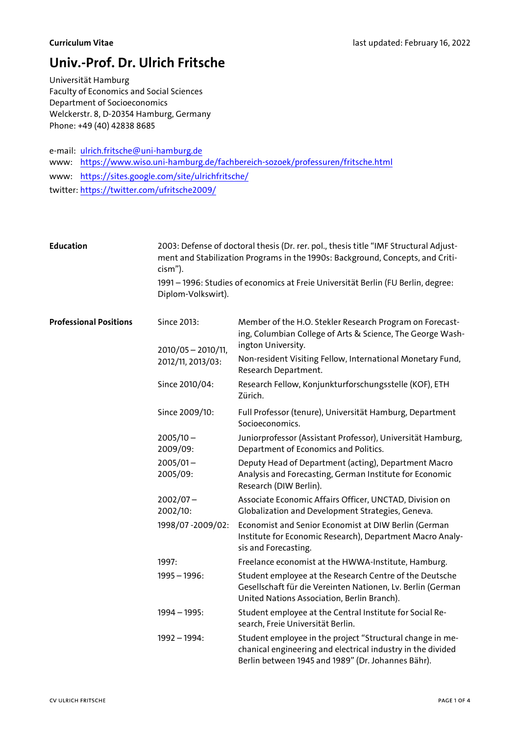## Univ.-Prof. Dr. Ulrich Fritsche

Universität Hamburg Faculty of Economics and Social Sciences Department of Socioeconomics Welckerstr. 8, D-20354 Hamburg, Germany Phone: +49 (40) 42838 8685

e-mail: ulrich.fritsche@uni-hamburg.de www: https://www.wiso.uni-hamburg.de/fachbereich-sozoek/professuren/fritsche.html www: https://sites.google.com/site/ulrichfritsche/

twitter: https://twitter.com/ufritsche2009/

| Education                     | cism").                                                                                                 | 2003: Defense of doctoral thesis (Dr. rer. pol., thesis title "IMF Structural Adjust-<br>ment and Stabilization Programs in the 1990s: Background, Concepts, and Criti- |
|-------------------------------|---------------------------------------------------------------------------------------------------------|-------------------------------------------------------------------------------------------------------------------------------------------------------------------------|
|                               | 1991 – 1996: Studies of economics at Freie Universität Berlin (FU Berlin, degree:<br>Diplom-Volkswirt). |                                                                                                                                                                         |
| <b>Professional Positions</b> | Since 2013:<br>$2010/05 - 2010/11$ ,                                                                    | Member of the H.O. Stekler Research Program on Forecast-<br>ing, Columbian College of Arts & Science, The George Wash-<br>ington University.                            |
|                               | 2012/11, 2013/03:                                                                                       | Non-resident Visiting Fellow, International Monetary Fund,<br>Research Department.                                                                                      |
|                               | Since 2010/04:                                                                                          | Research Fellow, Konjunkturforschungsstelle (KOF), ETH<br>Zürich.                                                                                                       |
|                               |                                                                                                         |                                                                                                                                                                         |

Since 2009/10: Full Professor (tenure), Universität Hamburg, Department Socioeconomics.  $2005/10 -$ 2009/09: Juniorprofessor (Assistant Professor), Universität Hamburg, Department of Economics and Politics.  $2005/01 -$ 2005/09: Deputy Head of Department (acting), Department Macro Analysis and Forecasting, German Institute for Economic Research (DIW Berlin).  $2002/07 -$ 2002/10: Associate Economic Affairs Officer, UNCTAD, Division on Globalization and Development Strategies, Geneva. 1998/07 -2009/02: Economist and Senior Economist at DIW Berlin (German Institute for Economic Research), Department Macro Analysis and Forecasting. 1997: Freelance economist at the HWWA-Institute, Hamburg. 1995 – 1996: Student employee at the Research Centre of the Deutsche Gesellschaft für die Vereinten Nationen, Lv. Berlin (German United Nations Association, Berlin Branch). 1994 – 1995: Student employee at the Central Institute for Social Research, Freie Universität Berlin. 1992 – 1994: Student employee in the project "Structural change in mechanical engineering and electrical industry in the divided

Berlin between 1945 and 1989" (Dr. Johannes Bähr).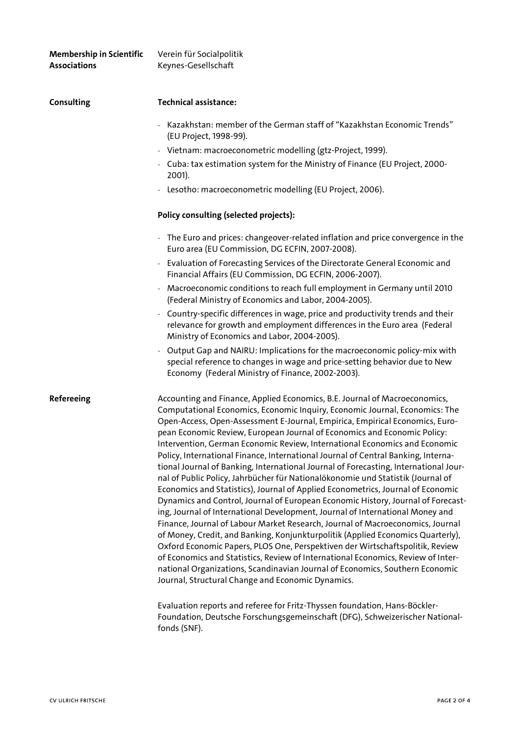| <b>Membership in Scientific</b><br><b>Associations</b> | Verein für Socialpolitik<br>Keynes-Gesellschaft                                                                                                                                                                                                                                                                                                                                                                                                                                                                                                                                                                                                                                                                                                                                                                                                                                                                                                                                                                                                                                                                                                                                                                                                                                                                                                                                                            |
|--------------------------------------------------------|------------------------------------------------------------------------------------------------------------------------------------------------------------------------------------------------------------------------------------------------------------------------------------------------------------------------------------------------------------------------------------------------------------------------------------------------------------------------------------------------------------------------------------------------------------------------------------------------------------------------------------------------------------------------------------------------------------------------------------------------------------------------------------------------------------------------------------------------------------------------------------------------------------------------------------------------------------------------------------------------------------------------------------------------------------------------------------------------------------------------------------------------------------------------------------------------------------------------------------------------------------------------------------------------------------------------------------------------------------------------------------------------------------|
| <b>Consulting</b>                                      | <b>Technical assistance:</b>                                                                                                                                                                                                                                                                                                                                                                                                                                                                                                                                                                                                                                                                                                                                                                                                                                                                                                                                                                                                                                                                                                                                                                                                                                                                                                                                                                               |
|                                                        | Kazakhstan: member of the German staff of "Kazakhstan Economic Trends"<br>(EU Project, 1998-99).                                                                                                                                                                                                                                                                                                                                                                                                                                                                                                                                                                                                                                                                                                                                                                                                                                                                                                                                                                                                                                                                                                                                                                                                                                                                                                           |
|                                                        | - Vietnam: macroeconometric modelling (gtz-Project, 1999).                                                                                                                                                                                                                                                                                                                                                                                                                                                                                                                                                                                                                                                                                                                                                                                                                                                                                                                                                                                                                                                                                                                                                                                                                                                                                                                                                 |
|                                                        | - Cuba: tax estimation system for the Ministry of Finance (EU Project, 2000-<br>2001).                                                                                                                                                                                                                                                                                                                                                                                                                                                                                                                                                                                                                                                                                                                                                                                                                                                                                                                                                                                                                                                                                                                                                                                                                                                                                                                     |
|                                                        | - Lesotho: macroeconometric modelling (EU Project, 2006).                                                                                                                                                                                                                                                                                                                                                                                                                                                                                                                                                                                                                                                                                                                                                                                                                                                                                                                                                                                                                                                                                                                                                                                                                                                                                                                                                  |
|                                                        | Policy consulting (selected projects):                                                                                                                                                                                                                                                                                                                                                                                                                                                                                                                                                                                                                                                                                                                                                                                                                                                                                                                                                                                                                                                                                                                                                                                                                                                                                                                                                                     |
|                                                        | - The Euro and prices: changeover-related inflation and price convergence in the<br>Euro area (EU Commission, DG ECFIN, 2007-2008).                                                                                                                                                                                                                                                                                                                                                                                                                                                                                                                                                                                                                                                                                                                                                                                                                                                                                                                                                                                                                                                                                                                                                                                                                                                                        |
|                                                        | Evaluation of Forecasting Services of the Directorate General Economic and<br>$\overline{\phantom{a}}$<br>Financial Affairs (EU Commission, DG ECFIN, 2006-2007).                                                                                                                                                                                                                                                                                                                                                                                                                                                                                                                                                                                                                                                                                                                                                                                                                                                                                                                                                                                                                                                                                                                                                                                                                                          |
|                                                        | - Macroeconomic conditions to reach full employment in Germany until 2010<br>(Federal Ministry of Economics and Labor, 2004-2005).                                                                                                                                                                                                                                                                                                                                                                                                                                                                                                                                                                                                                                                                                                                                                                                                                                                                                                                                                                                                                                                                                                                                                                                                                                                                         |
|                                                        | Country-specific differences in wage, price and productivity trends and their<br>relevance for growth and employment differences in the Euro area (Federal<br>Ministry of Economics and Labor, 2004-2005).                                                                                                                                                                                                                                                                                                                                                                                                                                                                                                                                                                                                                                                                                                                                                                                                                                                                                                                                                                                                                                                                                                                                                                                                 |
|                                                        | Output Gap and NAIRU: Implications for the macroeconomic policy-mix with<br>special reference to changes in wage and price-setting behavior due to New<br>Economy (Federal Ministry of Finance, 2002-2003).                                                                                                                                                                                                                                                                                                                                                                                                                                                                                                                                                                                                                                                                                                                                                                                                                                                                                                                                                                                                                                                                                                                                                                                                |
| <b>Refereeing</b>                                      | Accounting and Finance, Applied Economics, B.E. Journal of Macroeconomics,<br>Computational Economics, Economic Inquiry, Economic Journal, Economics: The<br>Open-Access, Open-Assessment E-Journal, Empirica, Empirical Economics, Euro-<br>pean Economic Review, European Journal of Economics and Economic Policy:<br>Intervention, German Economic Review, International Economics and Economic<br>Policy, International Finance, International Journal of Central Banking, Interna-<br>tional Journal of Banking, International Journal of Forecasting, International Jour-<br>nal of Public Policy, Jahrbücher für Nationalökonomie und Statistik (Journal of<br>Economics and Statistics), Journal of Applied Econometrics, Journal of Economic<br>Dynamics and Control, Journal of European Economic History, Journal of Forecast-<br>ing, Journal of International Development, Journal of International Money and<br>Finance, Journal of Labour Market Research, Journal of Macroeconomics, Journal<br>of Money, Credit, and Banking, Konjunkturpolitik (Applied Economics Quarterly),<br>Oxford Economic Papers, PLOS One, Perspektiven der Wirtschaftspolitik, Review<br>of Economics and Statistics, Review of International Economics, Review of Inter-<br>national Organizations, Scandinavian Journal of Economics, Southern Economic<br>Journal, Structural Change and Economic Dynamics. |
|                                                        | Evaluation reports and referee for Fritz-Thyssen foundation, Hans-Böckler-                                                                                                                                                                                                                                                                                                                                                                                                                                                                                                                                                                                                                                                                                                                                                                                                                                                                                                                                                                                                                                                                                                                                                                                                                                                                                                                                 |

Evaluation reports and referee for Fritz-Thyssen foundation, Hans-Böckler-Foundation, Deutsche Forschungsgemeinschaft (DFG), Schweizerischer Nationalfonds (SNF).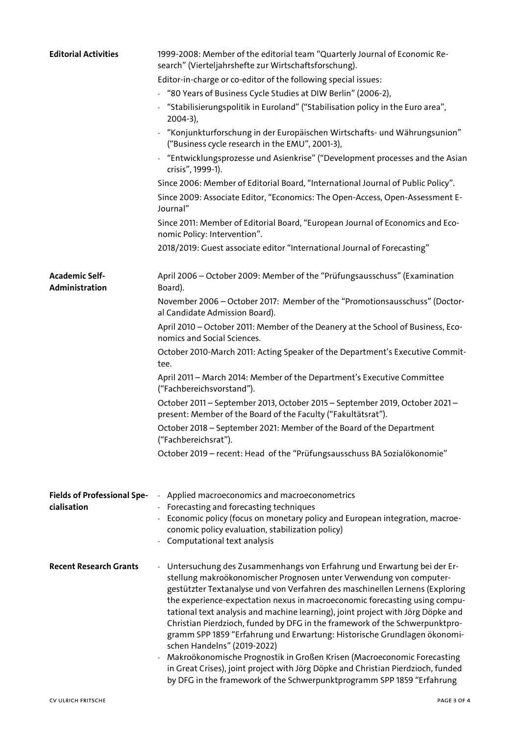| <b>Editorial Activities</b>             | 1999-2008: Member of the editorial team "Quarterly Journal of Economic Re-<br>search" (Vierteljahrshefte zur Wirtschaftsforschung).                                                                                                                                                                                                                                                                                                                                                                                                                                                                                                                                                                                                                                                                                                 |
|-----------------------------------------|-------------------------------------------------------------------------------------------------------------------------------------------------------------------------------------------------------------------------------------------------------------------------------------------------------------------------------------------------------------------------------------------------------------------------------------------------------------------------------------------------------------------------------------------------------------------------------------------------------------------------------------------------------------------------------------------------------------------------------------------------------------------------------------------------------------------------------------|
|                                         | Editor-in-charge or co-editor of the following special issues:                                                                                                                                                                                                                                                                                                                                                                                                                                                                                                                                                                                                                                                                                                                                                                      |
|                                         | "80 Years of Business Cycle Studies at DIW Berlin" (2006-2),<br>÷,                                                                                                                                                                                                                                                                                                                                                                                                                                                                                                                                                                                                                                                                                                                                                                  |
|                                         | "Stabilisierungspolitik in Euroland" ("Stabilisation policy in the Euro area",<br>$2004-3$ ),                                                                                                                                                                                                                                                                                                                                                                                                                                                                                                                                                                                                                                                                                                                                       |
|                                         | "Konjunkturforschung in der Europäischen Wirtschafts- und Währungsunion"<br>("Business cycle research in the EMU", 2001-3),                                                                                                                                                                                                                                                                                                                                                                                                                                                                                                                                                                                                                                                                                                         |
|                                         | - "Entwicklungsprozesse und Asienkrise" ("Development processes and the Asian<br>crisis", 1999-1).                                                                                                                                                                                                                                                                                                                                                                                                                                                                                                                                                                                                                                                                                                                                  |
|                                         | Since 2006: Member of Editorial Board, "International Journal of Public Policy".                                                                                                                                                                                                                                                                                                                                                                                                                                                                                                                                                                                                                                                                                                                                                    |
|                                         | Since 2009: Associate Editor, "Economics: The Open-Access, Open-Assessment E-<br>Journal"                                                                                                                                                                                                                                                                                                                                                                                                                                                                                                                                                                                                                                                                                                                                           |
|                                         | Since 2011: Member of Editorial Board, "European Journal of Economics and Eco-<br>nomic Policy: Intervention".                                                                                                                                                                                                                                                                                                                                                                                                                                                                                                                                                                                                                                                                                                                      |
|                                         | 2018/2019: Guest associate editor "International Journal of Forecasting"                                                                                                                                                                                                                                                                                                                                                                                                                                                                                                                                                                                                                                                                                                                                                            |
| <b>Academic Self-</b><br>Administration | April 2006 - October 2009: Member of the "Prüfungsausschuss" (Examination<br>Board).                                                                                                                                                                                                                                                                                                                                                                                                                                                                                                                                                                                                                                                                                                                                                |
|                                         | November 2006 - October 2017: Member of the "Promotionsausschuss" (Doctor-<br>al Candidate Admission Board).                                                                                                                                                                                                                                                                                                                                                                                                                                                                                                                                                                                                                                                                                                                        |
|                                         | April 2010 - October 2011: Member of the Deanery at the School of Business, Eco-<br>nomics and Social Sciences.                                                                                                                                                                                                                                                                                                                                                                                                                                                                                                                                                                                                                                                                                                                     |
|                                         | October 2010-March 2011: Acting Speaker of the Department's Executive Commit-<br>tee.                                                                                                                                                                                                                                                                                                                                                                                                                                                                                                                                                                                                                                                                                                                                               |
|                                         | April 2011 - March 2014: Member of the Department's Executive Committee<br>("Fachbereichsvorstand").                                                                                                                                                                                                                                                                                                                                                                                                                                                                                                                                                                                                                                                                                                                                |
|                                         | October 2011 - September 2013, October 2015 - September 2019, October 2021 -<br>present: Member of the Board of the Faculty ("Fakultätsrat").                                                                                                                                                                                                                                                                                                                                                                                                                                                                                                                                                                                                                                                                                       |
|                                         | October 2018 - September 2021: Member of the Board of the Department<br>("Fachbereichsrat").                                                                                                                                                                                                                                                                                                                                                                                                                                                                                                                                                                                                                                                                                                                                        |
|                                         | October 2019 - recent: Head of the "Prüfungsausschuss BA Sozialökonomie"                                                                                                                                                                                                                                                                                                                                                                                                                                                                                                                                                                                                                                                                                                                                                            |
| <b>Fields of Professional Spe-</b>      | Applied macroeconomics and macroeconometrics                                                                                                                                                                                                                                                                                                                                                                                                                                                                                                                                                                                                                                                                                                                                                                                        |
| cialisation                             | Forecasting and forecasting techniques                                                                                                                                                                                                                                                                                                                                                                                                                                                                                                                                                                                                                                                                                                                                                                                              |
|                                         | - Economic policy (focus on monetary policy and European integration, macroe-                                                                                                                                                                                                                                                                                                                                                                                                                                                                                                                                                                                                                                                                                                                                                       |
|                                         | conomic policy evaluation, stabilization policy)<br>- Computational text analysis                                                                                                                                                                                                                                                                                                                                                                                                                                                                                                                                                                                                                                                                                                                                                   |
| <b>Recent Research Grants</b>           | - Untersuchung des Zusammenhangs von Erfahrung und Erwartung bei der Er-<br>stellung makroökonomischer Prognosen unter Verwendung von computer-<br>gestützter Textanalyse und von Verfahren des maschinellen Lernens (Exploring<br>the experience-expectation nexus in macroeconomic forecasting using compu-<br>tational text analysis and machine learning), joint project with Jörg Döpke and<br>Christian Pierdzioch, funded by DFG in the framework of the Schwerpunktpro-<br>gramm SPP 1859 "Erfahrung und Erwartung: Historische Grundlagen ökonomi-<br>schen Handelns" (2019-2022)<br>Makroökonomische Prognostik in Großen Krisen (Macroeconomic Forecasting<br>in Great Crises), joint project with Jörg Döpke and Christian Pierdzioch, funded<br>by DFG in the framework of the Schwerpunktprogramm SPP 1859 "Erfahrung |
|                                         |                                                                                                                                                                                                                                                                                                                                                                                                                                                                                                                                                                                                                                                                                                                                                                                                                                     |